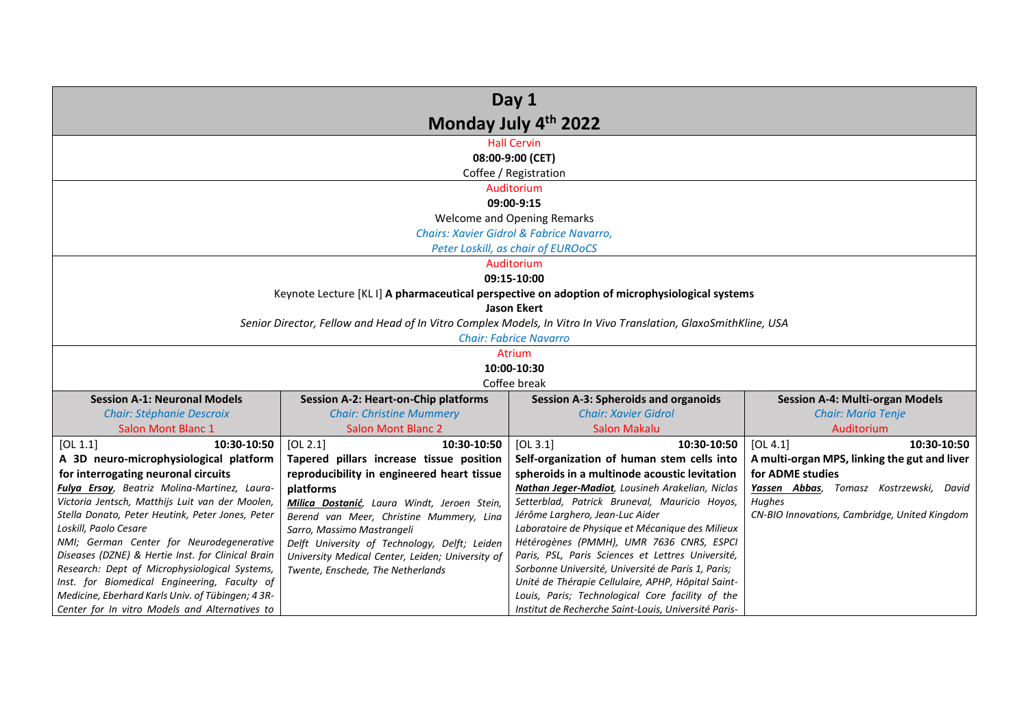| Day 1                                                                                             |                                                  |                                                                                                                 |                                               |  |
|---------------------------------------------------------------------------------------------------|--------------------------------------------------|-----------------------------------------------------------------------------------------------------------------|-----------------------------------------------|--|
| Monday July 4th 2022                                                                              |                                                  |                                                                                                                 |                                               |  |
|                                                                                                   |                                                  | <b>Hall Cervin</b>                                                                                              |                                               |  |
|                                                                                                   |                                                  | 08:00-9:00 (CET)                                                                                                |                                               |  |
|                                                                                                   |                                                  | Coffee / Registration                                                                                           |                                               |  |
|                                                                                                   |                                                  | Auditorium                                                                                                      |                                               |  |
|                                                                                                   |                                                  | 09:00-9:15                                                                                                      |                                               |  |
|                                                                                                   |                                                  | Welcome and Opening Remarks                                                                                     |                                               |  |
|                                                                                                   |                                                  | Chairs: Xavier Gidrol & Fabrice Navarro.                                                                        |                                               |  |
|                                                                                                   |                                                  | Peter Loskill, as chair of EUROoCS                                                                              |                                               |  |
|                                                                                                   |                                                  | Auditorium                                                                                                      |                                               |  |
|                                                                                                   |                                                  | 09:15-10:00                                                                                                     |                                               |  |
|                                                                                                   |                                                  | Keynote Lecture [KLI] A pharmaceutical perspective on adoption of microphysiological systems                    |                                               |  |
|                                                                                                   |                                                  | <b>Jason Ekert</b>                                                                                              |                                               |  |
|                                                                                                   |                                                  | Senior Director, Fellow and Head of In Vitro Complex Models, In Vitro In Vivo Translation, GlaxoSmithKline, USA |                                               |  |
|                                                                                                   |                                                  | <b>Chair: Fabrice Navarro</b>                                                                                   |                                               |  |
|                                                                                                   | <b>Atrium</b>                                    |                                                                                                                 |                                               |  |
| 10:00-10:30                                                                                       |                                                  |                                                                                                                 |                                               |  |
|                                                                                                   | Coffee break                                     |                                                                                                                 |                                               |  |
| <b>Session A-1: Neuronal Models</b>                                                               | <b>Session A-2: Heart-on-Chip platforms</b>      | <b>Session A-3: Spheroids and organoids</b>                                                                     | <b>Session A-4: Multi-organ Models</b>        |  |
| <b>Chair: Stéphanie Descroix</b>                                                                  | <b>Chair: Christine Mummery</b>                  | <b>Chair: Xavier Gidrol</b>                                                                                     | <b>Chair: Maria Tenje</b>                     |  |
| Salon Mont Blanc 1                                                                                | <b>Salon Mont Blanc 2</b>                        | <b>Salon Makalu</b>                                                                                             | Auditorium                                    |  |
| 10:30-10:50<br>[OL 1.1]                                                                           | [OL 2.1]<br>10:30-10:50                          | [OL 3.1]<br>10:30-10:50                                                                                         | 10:30-10:50<br>[OL 4.1]                       |  |
| A 3D neuro-microphysiological platform                                                            | Tapered pillars increase tissue position         | Self-organization of human stem cells into                                                                      | A multi-organ MPS, linking the gut and liver  |  |
| for interrogating neuronal circuits                                                               | reproducibility in engineered heart tissue       | spheroids in a multinode acoustic levitation                                                                    | for ADME studies                              |  |
| Fulya Ersoy, Beatriz Molina-Martinez, Laura-                                                      | platforms                                        | Nathan Jeger-Madiot, Lousineh Arakelian, Niclas                                                                 | Yassen Abbas, Tomasz Kostrzewski, David       |  |
| Victoria Jentsch, Matthijs Luit van der Moolen,                                                   | Milica Dostanić, Laura Windt, Jeroen Stein,      | Setterblad, Patrick Bruneval, Mauricio Hoyos,                                                                   | Hughes                                        |  |
| Stella Donato, Peter Heutink, Peter Jones, Peter                                                  | Berend van Meer, Christine Mummery, Lina         | Jérôme Larghero, Jean-Luc Aider                                                                                 | CN-BIO Innovations, Cambridge, United Kingdom |  |
| Loskill, Paolo Cesare                                                                             | Sarro, Massimo Mastrangeli                       | Laboratoire de Physique et Mécanique des Milieux                                                                |                                               |  |
| NMI; German Center for Neurodegenerative                                                          | Delft University of Technology, Delft; Leiden    | Hétérogènes (PMMH), UMR 7636 CNRS, ESPCI                                                                        |                                               |  |
| Diseases (DZNE) & Hertie Inst. for Clinical Brain                                                 | University Medical Center, Leiden; University of | Paris, PSL, Paris Sciences et Lettres Université,                                                               |                                               |  |
| Research: Dept of Microphysiological Systems,                                                     | Twente, Enschede, The Netherlands                | Sorbonne Université, Université de Paris 1, Paris;                                                              |                                               |  |
| Inst. for Biomedical Engineering, Faculty of<br>Medicine, Eberhard Karls Univ. of Tübingen; 4 3R- |                                                  | Unité de Thérapie Cellulaire, APHP, Hôpital Saint-<br>Louis, Paris; Technological Core facility of the          |                                               |  |
| Center for In vitro Models and Alternatives to                                                    |                                                  | Institut de Recherche Saint-Louis, Université Paris-                                                            |                                               |  |
|                                                                                                   |                                                  |                                                                                                                 |                                               |  |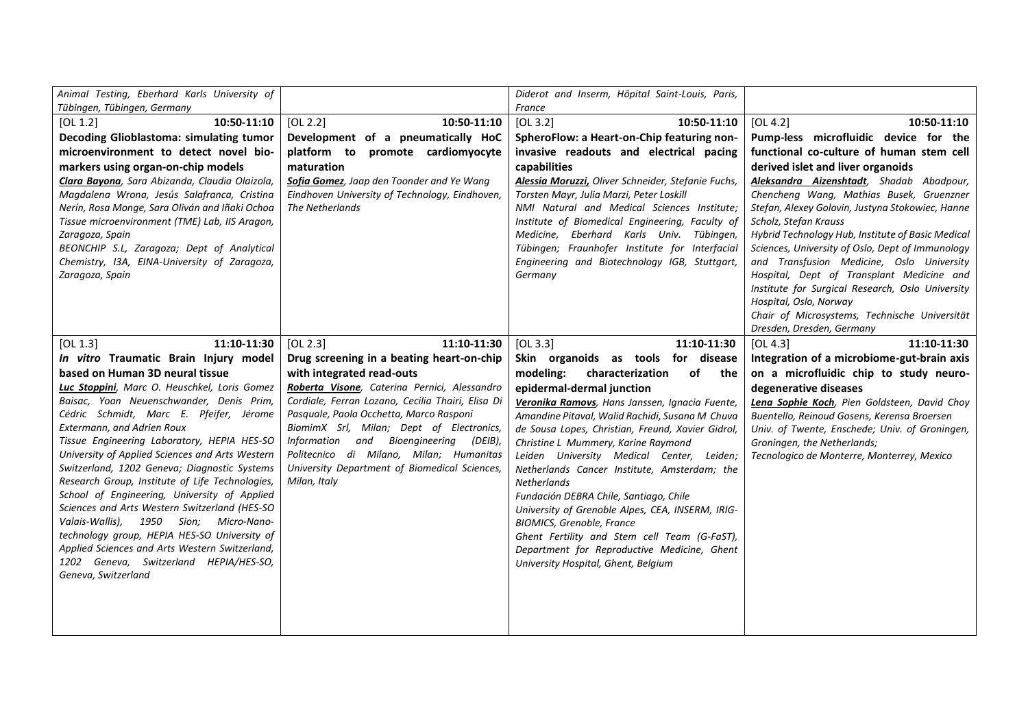| Animal Testing, Eberhard Karls University of                                             |                                                                                                   | Diderot and Inserm, Hôpital Saint-Louis, Paris,                                                   |                                                                                               |
|------------------------------------------------------------------------------------------|---------------------------------------------------------------------------------------------------|---------------------------------------------------------------------------------------------------|-----------------------------------------------------------------------------------------------|
| Tübingen, Tübingen, Germany                                                              |                                                                                                   | France                                                                                            |                                                                                               |
| 10:50-11:10<br>[OL 1.2]                                                                  | [OL 2.2]<br>10:50-11:10                                                                           | [OL 3.2]<br>10:50-11:10                                                                           | [OL 4.2]<br>10:50-11:10                                                                       |
| Decoding Glioblastoma: simulating tumor                                                  | Development of a pneumatically HoC                                                                | SpheroFlow: a Heart-on-Chip featuring non-                                                        | Pump-less microfluidic device for the                                                         |
| microenvironment to detect novel bio-                                                    | platform to promote cardiomyocyte                                                                 | invasive readouts and electrical pacing                                                           | functional co-culture of human stem cell                                                      |
| markers using organ-on-chip models                                                       | maturation                                                                                        | capabilities                                                                                      | derived islet and liver organoids                                                             |
| Clara Bayona, Sara Abizanda, Claudia Olaizola,                                           | Sofia Gomez, Jaap den Toonder and Ye Wang                                                         | Alessia Moruzzi, Oliver Schneider, Stefanie Fuchs,                                                | Aleksandra Aizenshtadt, Shadab Abadpour,                                                      |
| Magdalena Wrona, Jesús Salafranca, Cristina                                              | Eindhoven University of Technology, Eindhoven,                                                    | Torsten Mayr, Julia Marzi, Peter Loskill                                                          | Chencheng Wang, Mathias Busek, Gruenzner                                                      |
| Nerín, Rosa Monge, Sara Oliván and Iñaki Ochoa                                           | The Netherlands                                                                                   | NMI Natural and Medical Sciences Institute;                                                       | Stefan, Alexey Golovin, Justyna Stokowiec, Hanne                                              |
| Tissue microenvironment (TME) Lab, IIS Aragon,                                           |                                                                                                   | Institute of Biomedical Engineering, Faculty of                                                   | Scholz, Stefan Krauss                                                                         |
| Zaragoza, Spain                                                                          |                                                                                                   | Medicine, Eberhard Karls Univ. Tübingen,                                                          | Hybrid Technology Hub, Institute of Basic Medical                                             |
| BEONCHIP S.L, Zaragoza; Dept of Analytical                                               |                                                                                                   | Tübingen; Fraunhofer Institute for Interfacial                                                    | Sciences, University of Oslo, Dept of Immunology                                              |
| Chemistry, I3A, EINA-University of Zaragoza,                                             |                                                                                                   | Engineering and Biotechnology IGB, Stuttgart,                                                     | and Transfusion Medicine, Oslo University                                                     |
| Zaragoza, Spain                                                                          |                                                                                                   | Germany                                                                                           | Hospital, Dept of Transplant Medicine and<br>Institute for Surgical Research, Oslo University |
|                                                                                          |                                                                                                   |                                                                                                   | Hospital, Oslo, Norway                                                                        |
|                                                                                          |                                                                                                   |                                                                                                   | Chair of Microsystems, Technische Universität                                                 |
|                                                                                          |                                                                                                   |                                                                                                   | Dresden, Dresden, Germany                                                                     |
| 11:10-11:30<br>[OL 1.3]                                                                  | [OL 2.3]<br>11:10-11:30                                                                           | [OL 3.3]<br>11:10-11:30                                                                           | [OL 4.3]<br>11:10-11:30                                                                       |
|                                                                                          |                                                                                                   |                                                                                                   |                                                                                               |
|                                                                                          |                                                                                                   |                                                                                                   |                                                                                               |
| In vitro Traumatic Brain Injury model                                                    | Drug screening in a beating heart-on-chip                                                         | Skin organoids as tools for disease<br>the                                                        | Integration of a microbiome-gut-brain axis                                                    |
| based on Human 3D neural tissue                                                          | with integrated read-outs                                                                         | modeling:<br>of<br>characterization                                                               | on a microfluidic chip to study neuro-                                                        |
| Luc Stoppini, Marc O. Heuschkel, Loris Gomez<br>Baisac, Yoan Neuenschwander, Denis Prim, | Roberta Visone, Caterina Pernici, Alessandro<br>Cordiale, Ferran Lozano, Cecilia Thairi, Elisa Di | epidermal-dermal junction                                                                         | degenerative diseases                                                                         |
| Cédric Schmidt, Marc E. Pfeifer, Jérome                                                  | Pasquale, Paola Occhetta, Marco Rasponi                                                           | Veronika Ramovs, Hans Janssen, Ignacia Fuente,<br>Amandine Pitaval, Walid Rachidi, Susana M Chuva | Lena Sophie Koch, Pien Goldsteen, David Choy<br>Buentello, Reinoud Gosens, Kerensa Broersen   |
| Extermann, and Adrien Roux                                                               | BiomimX Srl, Milan; Dept of Electronics,                                                          | de Sousa Lopes, Christian, Freund, Xavier Gidrol,                                                 | Univ. of Twente, Enschede; Univ. of Groningen,                                                |
| Tissue Engineering Laboratory, HEPIA HES-SO                                              | and<br>Bioengineering (DEIB),<br>Information                                                      | Christine L Mummery, Karine Raymond                                                               | Groningen, the Netherlands;                                                                   |
| University of Applied Sciences and Arts Western                                          | Politecnico di Milano, Milan; Humanitas                                                           | Leiden University Medical Center, Leiden;                                                         | Tecnologico de Monterre, Monterrey, Mexico                                                    |
| Switzerland, 1202 Geneva; Diagnostic Systems                                             | University Department of Biomedical Sciences,                                                     | Netherlands Cancer Institute, Amsterdam; the                                                      |                                                                                               |
| Research Group, Institute of Life Technologies,                                          | Milan, Italy                                                                                      | <b>Netherlands</b>                                                                                |                                                                                               |
| School of Engineering, University of Applied                                             |                                                                                                   | Fundación DEBRA Chile, Santiago, Chile                                                            |                                                                                               |
| Sciences and Arts Western Switzerland (HES-SO                                            |                                                                                                   | University of Grenoble Alpes, CEA, INSERM, IRIG-                                                  |                                                                                               |
| Valais-Wallis), 1950 Sion; Micro-Nano-                                                   |                                                                                                   | <b>BIOMICS, Grenoble, France</b>                                                                  |                                                                                               |
| technology group, HEPIA HES-SO University of                                             |                                                                                                   | Ghent Fertility and Stem cell Team (G-FaST),                                                      |                                                                                               |
| Applied Sciences and Arts Western Switzerland,                                           |                                                                                                   | Department for Reproductive Medicine, Ghent                                                       |                                                                                               |
| 1202 Geneva, Switzerland HEPIA/HES-SO,                                                   |                                                                                                   | University Hospital, Ghent, Belgium                                                               |                                                                                               |
| Geneva, Switzerland                                                                      |                                                                                                   |                                                                                                   |                                                                                               |
|                                                                                          |                                                                                                   |                                                                                                   |                                                                                               |
|                                                                                          |                                                                                                   |                                                                                                   |                                                                                               |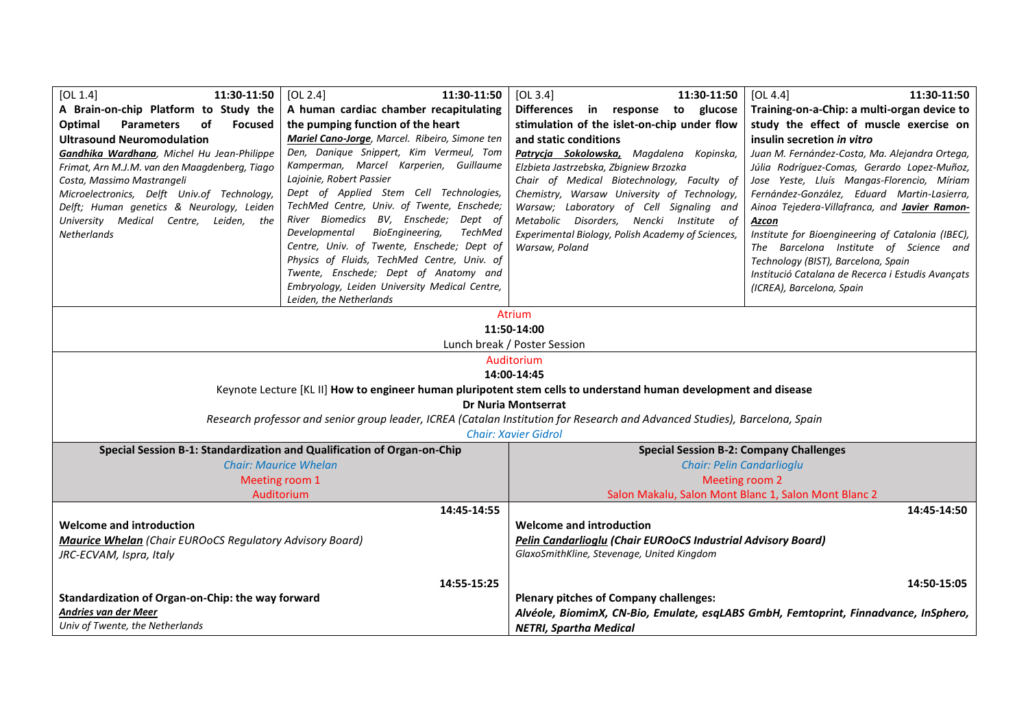| [OL 1.4]<br>11:30-11:50                                                                                                     | [OL 2.4]<br>11:30-11:50                        | [OL 3.4]<br>11:30-11:50                                                             | [OL 4.4]<br>11:30-11:50                              |  |
|-----------------------------------------------------------------------------------------------------------------------------|------------------------------------------------|-------------------------------------------------------------------------------------|------------------------------------------------------|--|
| A Brain-on-chip Platform to Study the                                                                                       | A human cardiac chamber recapitulating         | Differences in response to glucose                                                  | Training-on-a-Chip: a multi-organ device to          |  |
| Optimal<br><b>Parameters</b><br>оf<br><b>Focused</b>                                                                        | the pumping function of the heart              | stimulation of the islet-on-chip under flow                                         | study the effect of muscle exercise on               |  |
| <b>Ultrasound Neuromodulation</b>                                                                                           | Mariel Cano-Jorge, Marcel. Ribeiro, Simone ten | and static conditions                                                               | insulin secretion in vitro                           |  |
| Gandhika Wardhana, Michel Hu Jean-Philippe                                                                                  | Den, Danique Snippert, Kim Vermeul, Tom        | Patrycja Sokolowska, Magdalena Kopinska,                                            | Juan M. Fernández-Costa, Ma. Alejandra Ortega,       |  |
| Frimat, Arn M.J.M. van den Maagdenberg, Tiago                                                                               | Kamperman, Marcel Karperien, Guillaume         | Elzbieta Jastrzebska, Zbigniew Brzozka                                              | Júlia Rodríguez-Comas, Gerardo Lopez-Muñoz,          |  |
| Costa, Massimo Mastrangeli                                                                                                  | Lajoinie, Robert Passier                       | Chair of Medical Biotechnology, Faculty of                                          | Jose Yeste, Lluís Mangas-Florencio, Míriam           |  |
| Microelectronics, Delft Univ.of Technology,                                                                                 | Dept of Applied Stem Cell Technologies,        | Chemistry, Warsaw University of Technology,                                         | Fernández-González, Eduard Martin-Lasierra,          |  |
| Delft; Human genetics & Neurology, Leiden                                                                                   | TechMed Centre, Univ. of Twente, Enschede;     | Warsaw; Laboratory of Cell Signaling and                                            | Ainoa Tejedera-Villafranca, and <b>Javier Ramon-</b> |  |
| University Medical Centre, Leiden, the                                                                                      | River Biomedics BV, Enschede; Dept of          | Metabolic Disorders, Nencki Institute of                                            | Azcon                                                |  |
| Netherlands                                                                                                                 | BioEngineering,<br>TechMed<br>Developmental    | Experimental Biology, Polish Academy of Sciences,                                   | Institute for Bioengineering of Catalonia (IBEC),    |  |
|                                                                                                                             | Centre, Univ. of Twente, Enschede; Dept of     | Warsaw, Poland                                                                      | The Barcelona Institute of Science and               |  |
|                                                                                                                             | Physics of Fluids, TechMed Centre, Univ. of    |                                                                                     | Technology (BIST), Barcelona, Spain                  |  |
|                                                                                                                             | Twente, Enschede; Dept of Anatomy and          |                                                                                     | Institució Catalana de Recerca i Estudis Avançats    |  |
|                                                                                                                             | Embryology, Leiden University Medical Centre,  |                                                                                     | (ICREA), Barcelona, Spain                            |  |
|                                                                                                                             | Leiden, the Netherlands                        |                                                                                     |                                                      |  |
|                                                                                                                             |                                                | <b>Atrium</b>                                                                       |                                                      |  |
| 11:50-14:00                                                                                                                 |                                                |                                                                                     |                                                      |  |
| Lunch break / Poster Session                                                                                                |                                                |                                                                                     |                                                      |  |
| Auditorium                                                                                                                  |                                                |                                                                                     |                                                      |  |
| 14:00-14:45                                                                                                                 |                                                |                                                                                     |                                                      |  |
| Keynote Lecture [KL II] How to engineer human pluripotent stem cells to understand human development and disease            |                                                |                                                                                     |                                                      |  |
| <b>Dr Nuria Montserrat</b>                                                                                                  |                                                |                                                                                     |                                                      |  |
| Research professor and senior group leader, ICREA (Catalan Institution for Research and Advanced Studies), Barcelona, Spain |                                                |                                                                                     |                                                      |  |
|                                                                                                                             | <b>Chair: Xavier Gidrol</b>                    |                                                                                     |                                                      |  |
| Special Session B-1: Standardization and Qualification of Organ-on-Chip<br><b>Special Session B-2: Company Challenges</b>   |                                                |                                                                                     |                                                      |  |
|                                                                                                                             | <b>Chair: Maurice Whelan</b>                   |                                                                                     | Chair: Pelin Candarlioglu                            |  |
| Meeting room 1                                                                                                              |                                                | Meeting room 2                                                                      |                                                      |  |
| Auditorium                                                                                                                  |                                                | Salon Makalu, Salon Mont Blanc 1, Salon Mont Blanc 2                                |                                                      |  |
|                                                                                                                             | 14:45-14:55                                    |                                                                                     | 14:45-14:50                                          |  |
| <b>Welcome and introduction</b>                                                                                             |                                                | <b>Welcome and introduction</b>                                                     |                                                      |  |
| <b>Maurice Whelan</b> (Chair EUROoCS Regulatory Advisory Board)                                                             |                                                | Pelin Candarlioglu (Chair EUROoCS Industrial Advisory Board)                        |                                                      |  |
| JRC-ECVAM, Ispra, Italy                                                                                                     |                                                | GlaxoSmithKline, Stevenage, United Kingdom                                          |                                                      |  |
|                                                                                                                             |                                                |                                                                                     |                                                      |  |
|                                                                                                                             | 14:55-15:25                                    |                                                                                     | 14:50-15:05                                          |  |
| Standardization of Organ-on-Chip: the way forward                                                                           |                                                | <b>Plenary pitches of Company challenges:</b>                                       |                                                      |  |
| Andries van der Meer                                                                                                        |                                                | Alvéole, BiomimX, CN-Bio, Emulate, esqLABS GmbH, Femtoprint, Finnadvance, InSphero, |                                                      |  |
| Univ of Twente, the Netherlands                                                                                             |                                                |                                                                                     |                                                      |  |
|                                                                                                                             |                                                | <b>NETRI, Spartha Medical</b>                                                       |                                                      |  |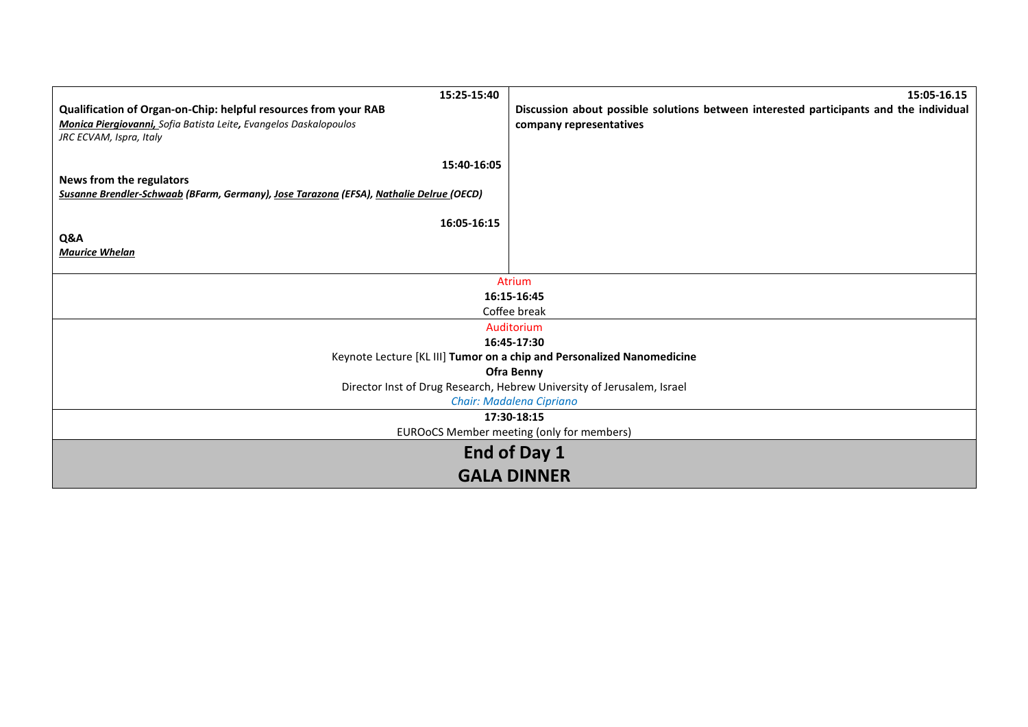| 15:25-15:40                                                                             | 15:05-16.15                                                                            |
|-----------------------------------------------------------------------------------------|----------------------------------------------------------------------------------------|
| Qualification of Organ-on-Chip: helpful resources from your RAB                         | Discussion about possible solutions between interested participants and the individual |
| Monica Piergiovanni, Sofia Batista Leite, Evangelos Daskalopoulos                       | company representatives                                                                |
| JRC ECVAM, Ispra, Italy                                                                 |                                                                                        |
| 15:40-16:05                                                                             |                                                                                        |
| News from the regulators                                                                |                                                                                        |
| Susanne Brendler-Schwaab (BFarm, Germany), Jose Tarazona (EFSA), Nathalie Delrue (OECD) |                                                                                        |
|                                                                                         |                                                                                        |
| 16:05-16:15                                                                             |                                                                                        |
| Q&A                                                                                     |                                                                                        |
| <b>Maurice Whelan</b>                                                                   |                                                                                        |
|                                                                                         |                                                                                        |
|                                                                                         | <b>Atrium</b>                                                                          |
|                                                                                         | 16:15-16:45                                                                            |
|                                                                                         | Coffee break                                                                           |
| Auditorium<br>16:45-17:30                                                               |                                                                                        |
|                                                                                         | Keynote Lecture [KL III] Tumor on a chip and Personalized Nanomedicine                 |
|                                                                                         | <b>Ofra Benny</b>                                                                      |
|                                                                                         | Director Inst of Drug Research, Hebrew University of Jerusalem, Israel                 |
|                                                                                         | Chair: Madalena Cipriano                                                               |
|                                                                                         | 17:30-18:15                                                                            |
|                                                                                         | EUROoCS Member meeting (only for members)                                              |
|                                                                                         | End of Day 1                                                                           |
|                                                                                         | <b>GALA DINNER</b>                                                                     |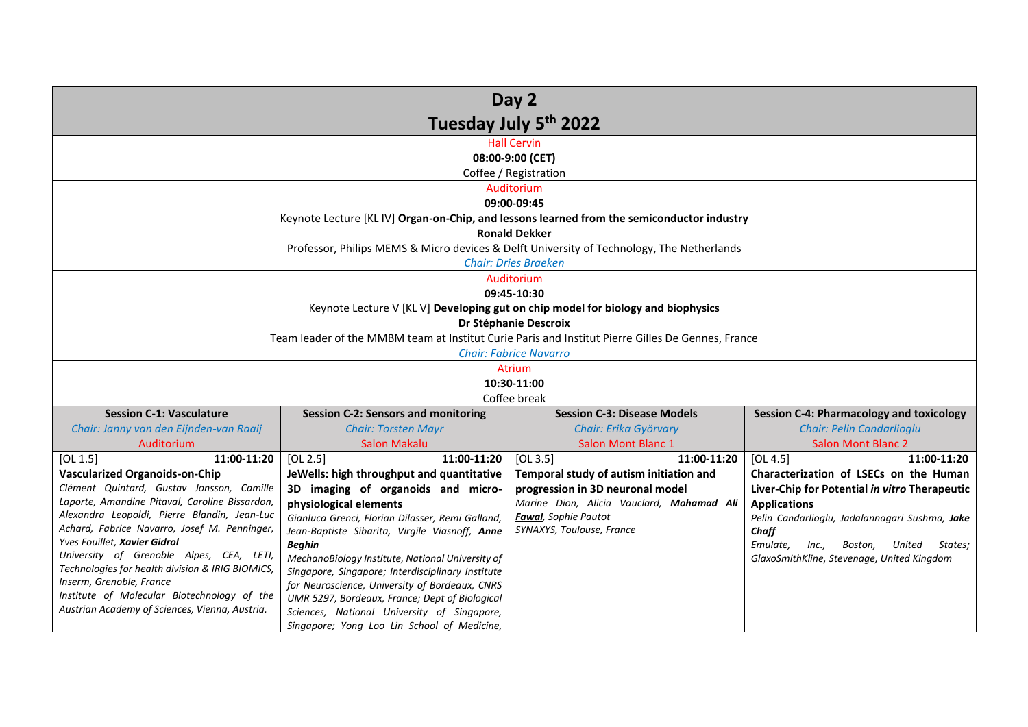| Day 2                                                                                         |                                                                                               |                                                                                                                          |                                                                                                 |
|-----------------------------------------------------------------------------------------------|-----------------------------------------------------------------------------------------------|--------------------------------------------------------------------------------------------------------------------------|-------------------------------------------------------------------------------------------------|
| Tuesday July 5th 2022                                                                         |                                                                                               |                                                                                                                          |                                                                                                 |
|                                                                                               |                                                                                               | <b>Hall Cervin</b><br>08:00-9:00 (CET)                                                                                   |                                                                                                 |
|                                                                                               |                                                                                               | Coffee / Registration                                                                                                    |                                                                                                 |
|                                                                                               |                                                                                               | Auditorium                                                                                                               |                                                                                                 |
|                                                                                               |                                                                                               | 09:00-09:45                                                                                                              |                                                                                                 |
|                                                                                               |                                                                                               | Keynote Lecture [KL IV] Organ-on-Chip, and lessons learned from the semiconductor industry                               |                                                                                                 |
|                                                                                               |                                                                                               | <b>Ronald Dekker</b>                                                                                                     |                                                                                                 |
|                                                                                               |                                                                                               | Professor, Philips MEMS & Micro devices & Delft University of Technology, The Netherlands<br><b>Chair: Dries Braeken</b> |                                                                                                 |
|                                                                                               |                                                                                               | Auditorium                                                                                                               |                                                                                                 |
|                                                                                               |                                                                                               | 09:45-10:30                                                                                                              |                                                                                                 |
|                                                                                               |                                                                                               | Keynote Lecture V [KL V] Developing gut on chip model for biology and biophysics                                         |                                                                                                 |
|                                                                                               |                                                                                               | Dr Stéphanie Descroix                                                                                                    |                                                                                                 |
|                                                                                               |                                                                                               | Team leader of the MMBM team at Institut Curie Paris and Institut Pierre Gilles De Gennes, France                        |                                                                                                 |
|                                                                                               |                                                                                               | <b>Chair: Fabrice Navarro</b><br>Atrium                                                                                  |                                                                                                 |
|                                                                                               |                                                                                               | 10:30-11:00                                                                                                              |                                                                                                 |
|                                                                                               |                                                                                               | Coffee break                                                                                                             |                                                                                                 |
| <b>Session C-1: Vasculature</b>                                                               | <b>Session C-2: Sensors and monitoring</b>                                                    | <b>Session C-3: Disease Models</b>                                                                                       | <b>Session C-4: Pharmacology and toxicology</b>                                                 |
| Chair: Janny van den Eijnden-van Raaij                                                        | <b>Chair: Torsten Mayr</b>                                                                    | Chair: Erika Györvary                                                                                                    | <b>Chair: Pelin Candarlioglu</b>                                                                |
| Auditorium                                                                                    | <b>Salon Makalu</b>                                                                           | <b>Salon Mont Blanc 1</b>                                                                                                | <b>Salon Mont Blanc 2</b>                                                                       |
| 11:00-11:20<br>[OL 1.5]                                                                       | [OL 2.5]<br>11:00-11:20                                                                       | [OL 3.5]<br>11:00-11:20                                                                                                  | [OL 4.5]<br>11:00-11:20                                                                         |
| <b>Vascularized Organoids-on-Chip</b><br>Clément Quintard, Gustav Jonsson, Camille            | JeWells: high throughput and quantitative<br>3D imaging of organoids and micro-               | Temporal study of autism initiation and<br>progression in 3D neuronal model                                              | Characterization of LSECs on the Human<br>Liver-Chip for Potential in vitro Therapeutic         |
| Laporte, Amandine Pitaval, Caroline Bissardon,                                                | physiological elements                                                                        | Marine Dion, Alicia Vauclard, Mohamad Ali                                                                                | <b>Applications</b>                                                                             |
| Alexandra Leopoldi, Pierre Blandin, Jean-Luc                                                  | Gianluca Grenci, Florian Dilasser, Remi Galland,                                              | <b>Fawal</b> , Sophie Pautot                                                                                             | Pelin Candarlioglu, Jadalannagari Sushma, Jake                                                  |
| Achard, Fabrice Navarro, Josef M. Penninger,<br>Yves Fouillet, Xavier Gidrol                  | Jean-Baptiste Sibarita, Virgile Viasnoff, Anne                                                | SYNAXYS, Toulouse, France                                                                                                | Chaff                                                                                           |
| University of Grenoble Alpes, CEA, LETI,                                                      | <b>Beghin</b><br>MechanoBiology Institute, National University of                             |                                                                                                                          | Emulate,<br>Inc.,<br>States;<br>Boston,<br>United<br>GlaxoSmithKline, Stevenage, United Kingdom |
| Technologies for health division & IRIG BIOMICS,                                              | Singapore, Singapore; Interdisciplinary Institute                                             |                                                                                                                          |                                                                                                 |
| Inserm, Grenoble, France                                                                      | for Neuroscience, University of Bordeaux, CNRS                                                |                                                                                                                          |                                                                                                 |
| Institute of Molecular Biotechnology of the<br>Austrian Academy of Sciences, Vienna, Austria. | UMR 5297, Bordeaux, France; Dept of Biological<br>Sciences, National University of Singapore, |                                                                                                                          |                                                                                                 |
|                                                                                               | Singapore; Yong Loo Lin School of Medicine,                                                   |                                                                                                                          |                                                                                                 |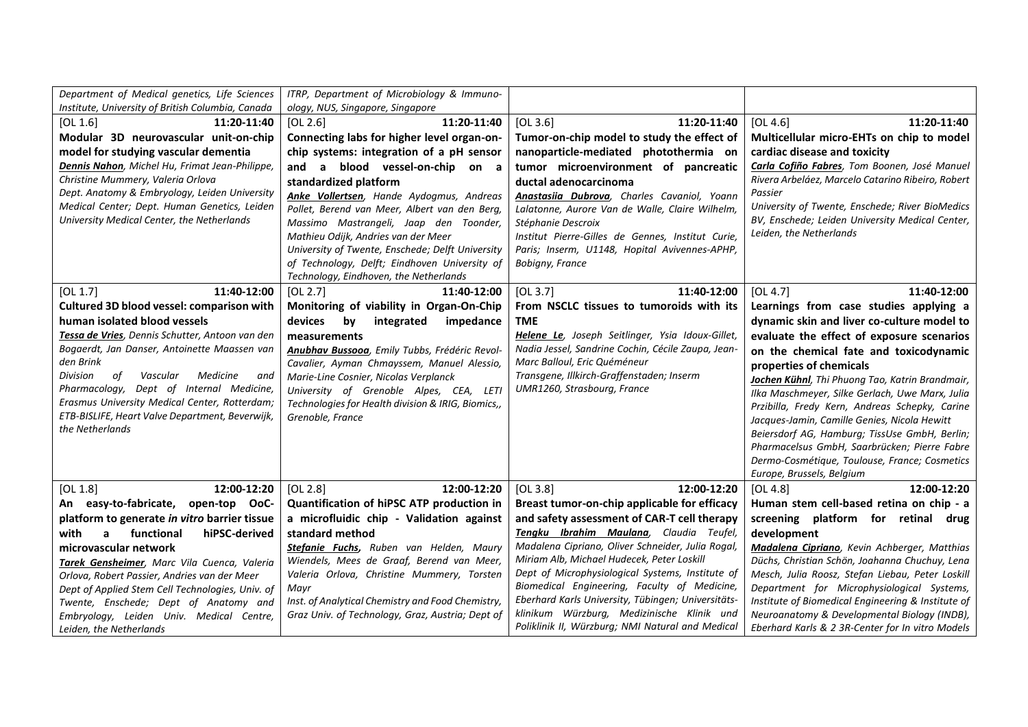| Department of Medical genetics, Life Sciences                                             | ITRP, Department of Microbiology & Immuno-                           |                                                                         |                                                                     |
|-------------------------------------------------------------------------------------------|----------------------------------------------------------------------|-------------------------------------------------------------------------|---------------------------------------------------------------------|
| Institute, University of British Columbia, Canada                                         | ology, NUS, Singapore, Singapore                                     |                                                                         |                                                                     |
| 11:20-11:40<br>[OL 1.6]                                                                   | 11:20-11:40<br>[OL 2.6]                                              | [OL 3.6]<br>11:20-11:40                                                 | 11:20-11:40<br>[OL 4.6]                                             |
| Modular 3D neurovascular unit-on-chip                                                     | Connecting labs for higher level organ-on-                           | Tumor-on-chip model to study the effect of                              | Multicellular micro-EHTs on chip to model                           |
| model for studying vascular dementia                                                      | chip systems: integration of a pH sensor                             | nanoparticle-mediated photothermia on                                   | cardiac disease and toxicity                                        |
| Dennis Nahon, Michel Hu, Frimat Jean-Philippe,                                            | and a blood vessel-on-chip on a                                      | tumor microenvironment of pancreatic                                    | Carla Cofiño Fabres, Tom Boonen, José Manuel                        |
| Christine Mummery, Valeria Orlova                                                         | standardized platform                                                | ductal adenocarcinoma                                                   | Rivera Arbeláez, Marcelo Catarino Ribeiro, Robert                   |
| Dept. Anatomy & Embryology, Leiden University                                             | Anke Vollertsen, Hande Aydogmus, Andreas                             | Anastasiia Dubrova, Charles Cavaniol, Yoann                             | Passier                                                             |
| Medical Center; Dept. Human Genetics, Leiden                                              | Pollet, Berend van Meer, Albert van den Berg,                        | Lalatonne, Aurore Van de Walle, Claire Wilhelm,                         | University of Twente, Enschede; River BioMedics                     |
| University Medical Center, the Netherlands                                                | Massimo Mastrangeli, Jaap den Toonder,                               | Stéphanie Descroix                                                      | BV, Enschede; Leiden University Medical Center,                     |
|                                                                                           | Mathieu Odijk, Andries van der Meer                                  | Institut Pierre-Gilles de Gennes, Institut Curie,                       | Leiden, the Netherlands                                             |
|                                                                                           | University of Twente, Enschede; Delft University                     | Paris; Inserm, U1148, Hopital Avivennes-APHP,                           |                                                                     |
|                                                                                           | of Technology, Delft; Eindhoven University of                        | Bobigny, France                                                         |                                                                     |
|                                                                                           | Technology, Eindhoven, the Netherlands                               |                                                                         |                                                                     |
| 11:40-12:00<br>[OL 1.7]                                                                   | [OL 2.7]<br>11:40-12:00                                              | 11:40-12:00<br>[OL 3.7]                                                 | 11:40-12:00<br>[OL 4.7]                                             |
| Cultured 3D blood vessel: comparison with                                                 | Monitoring of viability in Organ-On-Chip                             | From NSCLC tissues to tumoroids with its                                | Learnings from case studies applying a                              |
| human isolated blood vessels                                                              | devices<br>by<br>integrated<br>impedance                             | <b>TME</b>                                                              | dynamic skin and liver co-culture model to                          |
| Tessa de Vries, Dennis Schutter, Antoon van den                                           | measurements                                                         | Helene Le, Joseph Seitlinger, Ysia Idoux-Gillet,                        | evaluate the effect of exposure scenarios                           |
| Bogaerdt, Jan Danser, Antoinette Maassen van                                              | Anubhav Bussooa, Emily Tubbs, Frédéric Revol-                        | Nadia Jessel, Sandrine Cochin, Cécile Zaupa, Jean-                      | on the chemical fate and toxicodynamic                              |
| den Brink                                                                                 | Cavalier, Ayman Chmayssem, Manuel Alessio,                           | Marc Balloul, Eric Quéméneur                                            | properties of chemicals                                             |
| Division<br>of<br>Medicine<br>Vascular<br>and                                             | Marie-Line Cosnier, Nicolas Verplanck                                | Transgene, Illkirch-Graffenstaden; Inserm                               | Jochen Kühnl, Thi Phuong Tao, Katrin Brandmair,                     |
| Pharmacology, Dept of Internal Medicine,<br>Erasmus University Medical Center, Rotterdam; | University of Grenoble Alpes, CEA, LETI                              | UMR1260, Strasbourg, France                                             | Ilka Maschmeyer, Silke Gerlach, Uwe Marx, Julia                     |
| ETB-BISLIFE, Heart Valve Department, Beverwijk,                                           | Technologies for Health division & IRIG, Biomics,,                   |                                                                         | Przibilla, Fredy Kern, Andreas Schepky, Carine                      |
| the Netherlands                                                                           | Grenoble, France                                                     |                                                                         | Jacques-Jamin, Camille Genies, Nicola Hewitt                        |
|                                                                                           |                                                                      |                                                                         | Beiersdorf AG, Hamburg; TissUse GmbH, Berlin;                       |
|                                                                                           |                                                                      |                                                                         | Pharmacelsus GmbH, Saarbrücken; Pierre Fabre                        |
|                                                                                           |                                                                      |                                                                         | Dermo-Cosmétique, Toulouse, France; Cosmetics                       |
|                                                                                           |                                                                      |                                                                         | Europe, Brussels, Belgium                                           |
| 12:00-12:20<br>[OL 1.8]<br>An easy-to-fabricate, open-top OoC-                            | [OL 2.8]<br>12:00-12:20<br>Quantification of hiPSC ATP production in | [OL 3.8]<br>12:00-12:20<br>Breast tumor-on-chip applicable for efficacy | [OL 4.8]<br>12:00-12:20<br>Human stem cell-based retina on chip - a |
| platform to generate in vitro barrier tissue                                              | a microfluidic chip - Validation against                             | and safety assessment of CAR-T cell therapy                             | screening platform for retinal drug                                 |
| functional<br>hiPSC-derived<br>with                                                       | standard method                                                      | Tengku Ibrahim Maulana, Claudia Teufel,                                 | development                                                         |
| a                                                                                         | Stefanie Fuchs, Ruben van Helden, Maury                              | Madalena Cipriano, Oliver Schneider, Julia Rogal,                       | Madalena Cipriano, Kevin Achberger, Matthias                        |
| microvascular network<br>Tarek Gensheimer, Marc Vila Cuenca, Valeria                      | Wiendels, Mees de Graaf, Berend van Meer,                            | Miriam Alb, Michael Hudecek, Peter Loskill                              | Düchs, Christian Schön, Joahanna Chuchuy, Lena                      |
| Orlova, Robert Passier, Andries van der Meer                                              | Valeria Orlova, Christine Mummery, Torsten                           | Dept of Microphysiological Systems, Institute of                        | Mesch, Julia Roosz, Stefan Liebau, Peter Loskill                    |
| Dept of Applied Stem Cell Technologies, Univ. of                                          | Mavr                                                                 | Biomedical Engineering, Faculty of Medicine,                            | Department for Microphysiological Systems,                          |
| Twente, Enschede; Dept of Anatomy and                                                     | Inst. of Analytical Chemistry and Food Chemistry,                    | Eberhard Karls University, Tübingen; Universitäts-                      | Institute of Biomedical Engineering & Institute of                  |
| Embryology, Leiden Univ. Medical Centre,                                                  | Graz Univ. of Technology, Graz, Austria; Dept of                     | klinikum Würzburg, Medizinische Klinik und                              | Neuroanatomy & Developmental Biology (INDB),                        |
| Leiden, the Netherlands                                                                   |                                                                      | Poliklinik II, Würzburg; NMI Natural and Medical                        | Eberhard Karls & 2 3R-Center for In vitro Models                    |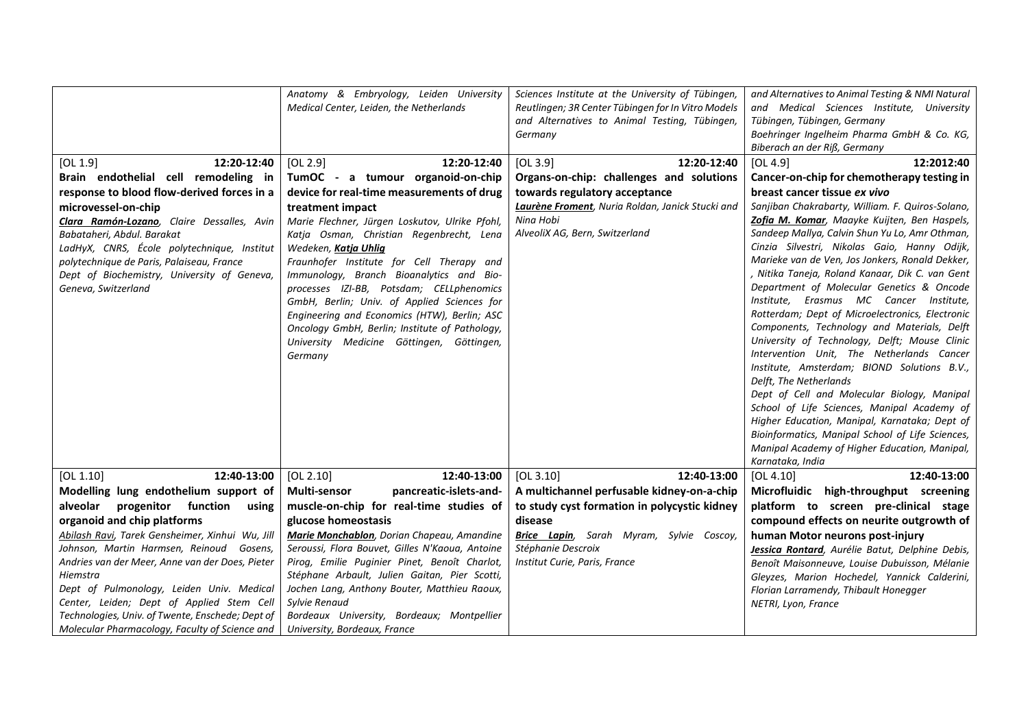|                                                  | Anatomy & Embryology, Leiden University<br>Medical Center, Leiden, the Netherlands | Sciences Institute at the University of Tübingen,<br>Reutlingen; 3R Center Tübingen for In Vitro Models<br>and Alternatives to Animal Testing, Tübingen,<br>Germany | and Alternatives to Animal Testing & NMI Natural<br>and Medical Sciences Institute, University<br>Tübingen, Tübingen, Germany<br>Boehringer Ingelheim Pharma GmbH & Co. KG,<br>Biberach an der Riß, Germany |
|--------------------------------------------------|------------------------------------------------------------------------------------|---------------------------------------------------------------------------------------------------------------------------------------------------------------------|-------------------------------------------------------------------------------------------------------------------------------------------------------------------------------------------------------------|
| 12:20-12:40<br>[OL $1.9$ ]                       | 12:20-12:40<br>[OL 2.9]                                                            | [OL 3.9]<br>12:20-12:40                                                                                                                                             | [OL 4.9]<br>12:2012:40                                                                                                                                                                                      |
| Brain endothelial cell remodeling in             | TumOC - a tumour organoid-on-chip                                                  | Organs-on-chip: challenges and solutions                                                                                                                            | Cancer-on-chip for chemotherapy testing in                                                                                                                                                                  |
| response to blood flow-derived forces in a       | device for real-time measurements of drug                                          | towards regulatory acceptance                                                                                                                                       | breast cancer tissue ex vivo                                                                                                                                                                                |
| microvessel-on-chip                              | treatment impact                                                                   | Laurène Froment, Nuria Roldan, Janick Stucki and                                                                                                                    | Sanjiban Chakrabarty, William. F. Quiros-Solano,                                                                                                                                                            |
| Clara Ramón-Lozano, Claire Dessalles, Avin       | Marie Flechner, Jürgen Loskutov, Ulrike Pfohl,                                     | Nina Hobi                                                                                                                                                           | Zofia M. Komar, Maayke Kuijten, Ben Haspels,                                                                                                                                                                |
| Babataheri, Abdul. Barakat                       | Katja Osman, Christian Regenbrecht, Lena                                           | AlveoliX AG, Bern, Switzerland                                                                                                                                      | Sandeep Mallya, Calvin Shun Yu Lo, Amr Othman,                                                                                                                                                              |
| LadHyX, CNRS, École polytechnique, Institut      | Wedeken, Katja Uhlig                                                               |                                                                                                                                                                     | Cinzia Silvestri, Nikolas Gaio, Hanny Odijk,                                                                                                                                                                |
| polytechnique de Paris, Palaiseau, France        | Fraunhofer Institute for Cell Therapy and                                          |                                                                                                                                                                     | Marieke van de Ven, Jos Jonkers, Ronald Dekker,                                                                                                                                                             |
| Dept of Biochemistry, University of Geneva,      | Immunology, Branch Bioanalytics and Bio-                                           |                                                                                                                                                                     | , Nitika Taneja, Roland Kanaar, Dik C. van Gent                                                                                                                                                             |
| Geneva, Switzerland                              | processes IZI-BB, Potsdam; CELLphenomics                                           |                                                                                                                                                                     | Department of Molecular Genetics & Oncode                                                                                                                                                                   |
|                                                  | GmbH, Berlin; Univ. of Applied Sciences for                                        |                                                                                                                                                                     | Institute, Erasmus MC Cancer Institute,                                                                                                                                                                     |
|                                                  | Engineering and Economics (HTW), Berlin; ASC                                       |                                                                                                                                                                     | Rotterdam; Dept of Microelectronics, Electronic                                                                                                                                                             |
|                                                  | Oncology GmbH, Berlin; Institute of Pathology,                                     |                                                                                                                                                                     | Components, Technology and Materials, Delft                                                                                                                                                                 |
|                                                  | University Medicine Göttingen, Göttingen,                                          |                                                                                                                                                                     | University of Technology, Delft; Mouse Clinic                                                                                                                                                               |
|                                                  | Germany                                                                            |                                                                                                                                                                     | Intervention Unit, The Netherlands Cancer                                                                                                                                                                   |
|                                                  |                                                                                    |                                                                                                                                                                     | Institute, Amsterdam; BIOND Solutions B.V.,                                                                                                                                                                 |
|                                                  |                                                                                    |                                                                                                                                                                     | Delft, The Netherlands                                                                                                                                                                                      |
|                                                  |                                                                                    |                                                                                                                                                                     | Dept of Cell and Molecular Biology, Manipal<br>School of Life Sciences, Manipal Academy of                                                                                                                  |
|                                                  |                                                                                    |                                                                                                                                                                     | Higher Education, Manipal, Karnataka; Dept of                                                                                                                                                               |
|                                                  |                                                                                    |                                                                                                                                                                     | Bioinformatics, Manipal School of Life Sciences,                                                                                                                                                            |
|                                                  |                                                                                    |                                                                                                                                                                     | Manipal Academy of Higher Education, Manipal,                                                                                                                                                               |
|                                                  |                                                                                    |                                                                                                                                                                     | Karnataka, India                                                                                                                                                                                            |
| 12:40-13:00<br>[OL 1.10]                         | [OL 2.10]<br>12:40-13:00                                                           | [OL 3.10]<br>12:40-13:00                                                                                                                                            | [OL 4.10]<br>12:40-13:00                                                                                                                                                                                    |
| Modelling lung endothelium support of            | <b>Multi-sensor</b><br>pancreatic-islets-and-                                      | A multichannel perfusable kidney-on-a-chip                                                                                                                          | Microfluidic high-throughput screening                                                                                                                                                                      |
| progenitor function<br>alveolar<br>using         | muscle-on-chip for real-time studies of                                            | to study cyst formation in polycystic kidney                                                                                                                        | platform to screen pre-clinical stage                                                                                                                                                                       |
| organoid and chip platforms                      | glucose homeostasis                                                                | disease                                                                                                                                                             | compound effects on neurite outgrowth of                                                                                                                                                                    |
| Abilash Ravi, Tarek Gensheimer, Xinhui Wu, Jill  | Marie Monchablon, Dorian Chapeau, Amandine                                         | <b>Brice Lapin</b> , Sarah Myram, Sylvie Coscoy,                                                                                                                    | human Motor neurons post-injury                                                                                                                                                                             |
| Johnson, Martin Harmsen, Reinoud Gosens,         | Seroussi, Flora Bouvet, Gilles N'Kaoua, Antoine                                    | Stéphanie Descroix                                                                                                                                                  | Jessica Rontard, Aurélie Batut, Delphine Debis,                                                                                                                                                             |
| Andries van der Meer, Anne van der Does, Pieter  | Pirog, Emilie Puginier Pinet, Benoît Charlot,                                      | Institut Curie, Paris, France                                                                                                                                       | Benoît Maisonneuve, Louise Dubuisson, Mélanie                                                                                                                                                               |
| Hiemstra                                         | Stéphane Arbault, Julien Gaitan, Pier Scotti,                                      |                                                                                                                                                                     | Gleyzes, Marion Hochedel, Yannick Calderini,                                                                                                                                                                |
| Dept of Pulmonology, Leiden Univ. Medical        | Jochen Lang, Anthony Bouter, Matthieu Raoux,                                       |                                                                                                                                                                     | Florian Larramendy, Thibault Honegger                                                                                                                                                                       |
| Center, Leiden; Dept of Applied Stem Cell        | Sylvie Renaud                                                                      |                                                                                                                                                                     | NETRI, Lyon, France                                                                                                                                                                                         |
| Technologies, Univ. of Twente, Enschede; Dept of | Bordeaux University, Bordeaux; Montpellier                                         |                                                                                                                                                                     |                                                                                                                                                                                                             |
| Molecular Pharmacology, Faculty of Science and   | University, Bordeaux, France                                                       |                                                                                                                                                                     |                                                                                                                                                                                                             |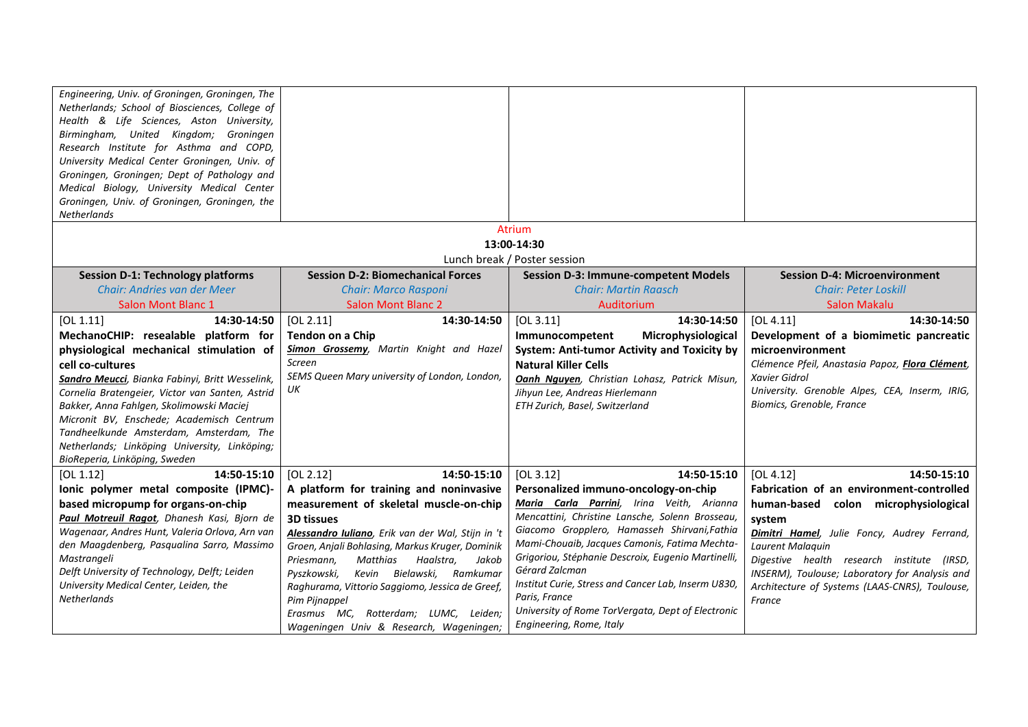| Engineering, Univ. of Groningen, Groningen, The<br>Netherlands; School of Biosciences, College of<br>Health & Life Sciences, Aston University,<br>Birmingham, United Kingdom; Groningen<br>Research Institute for Asthma and COPD,<br>University Medical Center Groningen, Univ. of<br>Groningen, Groningen; Dept of Pathology and |                                                                                 |                                                                                              |                                                       |
|------------------------------------------------------------------------------------------------------------------------------------------------------------------------------------------------------------------------------------------------------------------------------------------------------------------------------------|---------------------------------------------------------------------------------|----------------------------------------------------------------------------------------------|-------------------------------------------------------|
| Medical Biology, University Medical Center<br>Groningen, Univ. of Groningen, Groningen, the                                                                                                                                                                                                                                        |                                                                                 |                                                                                              |                                                       |
| <b>Netherlands</b>                                                                                                                                                                                                                                                                                                                 |                                                                                 | <b>Atrium</b>                                                                                |                                                       |
|                                                                                                                                                                                                                                                                                                                                    |                                                                                 | 13:00-14:30                                                                                  |                                                       |
|                                                                                                                                                                                                                                                                                                                                    |                                                                                 | Lunch break / Poster session                                                                 |                                                       |
| <b>Session D-1: Technology platforms</b>                                                                                                                                                                                                                                                                                           | <b>Session D-2: Biomechanical Forces</b>                                        | <b>Session D-3: Immune-competent Models</b>                                                  | <b>Session D-4: Microenvironment</b>                  |
| Chair: Andries van der Meer                                                                                                                                                                                                                                                                                                        | <b>Chair: Marco Rasponi</b>                                                     | <b>Chair: Martin Raasch</b>                                                                  | <b>Chair: Peter Loskill</b>                           |
| <b>Salon Mont Blanc 1</b>                                                                                                                                                                                                                                                                                                          | <b>Salon Mont Blanc 2</b>                                                       | Auditorium                                                                                   | <b>Salon Makalu</b>                                   |
| [OL 1.11]<br>14:30-14:50                                                                                                                                                                                                                                                                                                           | [OL 2.11]<br>14:30-14:50                                                        | [OL 3.11]<br>14:30-14:50                                                                     | [OL 4.11]<br>14:30-14:50                              |
| MechanoCHIP: resealable platform for                                                                                                                                                                                                                                                                                               | Tendon on a Chip                                                                | Microphysiological<br>Immunocompetent                                                        | Development of a biomimetic pancreatic                |
| physiological mechanical stimulation of                                                                                                                                                                                                                                                                                            | <b>Simon Grossemy</b> , Martin Knight and Hazel                                 | System: Anti-tumor Activity and Toxicity by                                                  | microenvironment                                      |
| cell co-cultures                                                                                                                                                                                                                                                                                                                   | Screen                                                                          | <b>Natural Killer Cells</b>                                                                  | Clémence Pfeil, Anastasia Papoz, Flora Clément,       |
| Sandro Meucci, Bianka Fabinyi, Britt Wesselink,                                                                                                                                                                                                                                                                                    | SEMS Queen Mary university of London, London,                                   | <b>Oanh Nguyen</b> , Christian Lohasz, Patrick Misun,                                        | Xavier Gidrol                                         |
| Cornelia Bratengeier, Victor van Santen, Astrid                                                                                                                                                                                                                                                                                    | UК                                                                              | Jihyun Lee, Andreas Hierlemann                                                               | University. Grenoble Alpes, CEA, Inserm, IRIG,        |
| Bakker, Anna Fahlgen, Skolimowski Maciej                                                                                                                                                                                                                                                                                           |                                                                                 | ETH Zurich, Basel, Switzerland                                                               | Biomics, Grenoble, France                             |
| Micronit BV, Enschede; Academisch Centrum                                                                                                                                                                                                                                                                                          |                                                                                 |                                                                                              |                                                       |
| Tandheelkunde Amsterdam, Amsterdam, The                                                                                                                                                                                                                                                                                            |                                                                                 |                                                                                              |                                                       |
| Netherlands; Linköping University, Linköping;                                                                                                                                                                                                                                                                                      |                                                                                 |                                                                                              |                                                       |
| BioReperia, Linköping, Sweden                                                                                                                                                                                                                                                                                                      |                                                                                 |                                                                                              |                                                       |
| 14:50-15:10<br>[OL 1.12]                                                                                                                                                                                                                                                                                                           | [OL 2.12]<br>14:50-15:10                                                        | [OL 3.12]<br>14:50-15:10                                                                     | [OL 4.12]<br>14:50-15:10                              |
| Ionic polymer metal composite (IPMC)-                                                                                                                                                                                                                                                                                              | A platform for training and noninvasive                                         | Personalized immuno-oncology-on-chip                                                         | Fabrication of an environment-controlled              |
| based micropump for organs-on-chip<br>Paul Motreuil Ragot, Dhanesh Kasi, Bjorn de                                                                                                                                                                                                                                                  | measurement of skeletal muscle-on-chip<br><b>3D tissues</b>                     | Maria Carla Parrini, Irina Veith, Arianna<br>Mencattini, Christine Lansche, Solenn Brosseau, | human-based colon microphysiological                  |
| Wagenaar, Andres Hunt, Valeria Orlova, Arn van                                                                                                                                                                                                                                                                                     | Alessandro Iuliano, Erik van der Wal, Stijn in 't                               | Giacomo Gropplero, Hamasseh Shirvani, Fathia                                                 | system<br>Dimitri Hamel, Julie Foncy, Audrey Ferrand, |
| den Maagdenberg, Pasqualina Sarro, Massimo                                                                                                                                                                                                                                                                                         | Groen, Anjali Bohlasing, Markus Kruger, Dominik                                 | Mami-Chouaib, Jacques Camonis, Fatima Mechta-                                                | Laurent Malaquin                                      |
| Mastrangeli                                                                                                                                                                                                                                                                                                                        | Matthias<br>Haalstra,<br>Priesmann,<br>Jakob                                    | Grigoriou, Stéphanie Descroix, Eugenio Martinelli,                                           | Digestive health research institute (IRSD,            |
| Delft University of Technology, Delft; Leiden                                                                                                                                                                                                                                                                                      | Kevin Bielawski, Ramkumar<br>Pyszkowski,                                        | Gérard Zalcman                                                                               | INSERM), Toulouse; Laboratory for Analysis and        |
| University Medical Center, Leiden, the                                                                                                                                                                                                                                                                                             | Raghurama, Vittorio Saggiomo, Jessica de Greef,                                 | Institut Curie, Stress and Cancer Lab, Inserm U830,                                          | Architecture of Systems (LAAS-CNRS), Toulouse,        |
| <b>Netherlands</b>                                                                                                                                                                                                                                                                                                                 | Pim Pijnappel                                                                   | Paris, France                                                                                | France                                                |
|                                                                                                                                                                                                                                                                                                                                    | Erasmus MC, Rotterdam; LUMC, Leiden;<br>Wageningen Univ & Research, Wageningen; | University of Rome TorVergata, Dept of Electronic<br>Engineering, Rome, Italy                |                                                       |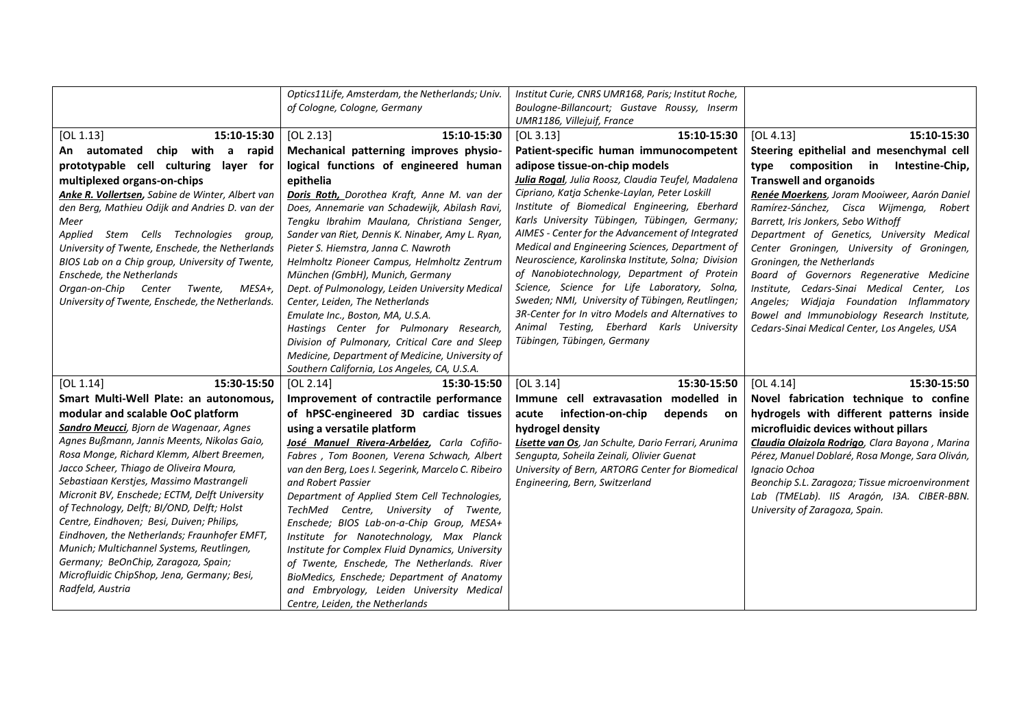| Anke R. Vollertsen, Sabine de Winter, Albert van<br>den Berg, Mathieu Odijk and Andries D. van der<br>Meer<br>Applied Stem Cells Technologies group,<br>University of Twente, Enschede, the Netherlands | Doris Roth, Dorothea Kraft, Anne M. van der<br>Does, Annemarie van Schadewijk, Abilash Ravi,<br>Tengku Ibrahim Maulana, Christiana Senger,<br>Sander van Riet, Dennis K. Ninaber, Amy L. Ryan,<br>Pieter S. Hiemstra, Janna C. Nawroth                                                                                                                   | Cipriano, Katja Schenke-Laylan, Peter Loskill<br>Institute of Biomedical Engineering, Eberhard<br>Karls University Tübingen, Tübingen, Germany;<br>AIMES - Center for the Advancement of Integrated<br>Medical and Engineering Sciences, Department of                                                                                  | Renée Moerkens, Joram Mooiweer, Aarón Daniel<br>Ramírez-Sánchez, Cisca Wijmenga,<br>Robert<br>Barrett, Iris Jonkers, Sebo Withoff<br>Department of Genetics, University Medical<br>Center Groningen, University of Groningen,                                        |
|---------------------------------------------------------------------------------------------------------------------------------------------------------------------------------------------------------|----------------------------------------------------------------------------------------------------------------------------------------------------------------------------------------------------------------------------------------------------------------------------------------------------------------------------------------------------------|-----------------------------------------------------------------------------------------------------------------------------------------------------------------------------------------------------------------------------------------------------------------------------------------------------------------------------------------|----------------------------------------------------------------------------------------------------------------------------------------------------------------------------------------------------------------------------------------------------------------------|
| BIOS Lab on a Chip group, University of Twente,<br>Enschede, the Netherlands<br>Organ-on-Chip Center Twente,<br>MESA+,<br>University of Twente, Enschede, the Netherlands.                              | Helmholtz Pioneer Campus, Helmholtz Zentrum<br>München (GmbH), Munich, Germany<br>Dept. of Pulmonology, Leiden University Medical<br>Center, Leiden, The Netherlands<br>Emulate Inc., Boston, MA, U.S.A.<br>Hastings Center for Pulmonary Research,<br>Division of Pulmonary, Critical Care and Sleep<br>Medicine, Department of Medicine, University of | Neuroscience, Karolinska Institute, Solna; Division<br>of Nanobiotechnology, Department of Protein<br>Science, Science for Life Laboratory, Solna,<br>Sweden; NMI, University of Tübingen, Reutlingen;<br>3R-Center for In vitro Models and Alternatives to<br>Animal Testing, Eberhard Karls University<br>Tübingen, Tübingen, Germany | Groningen, the Netherlands<br>Board of Governors Regenerative Medicine<br>Institute,<br>Cedars-Sinai Medical Center, Los<br>Angeles; Widjaja Foundation Inflammatory<br>Bowel and Immunobiology Research Institute,<br>Cedars-Sinai Medical Center, Los Angeles, USA |
|                                                                                                                                                                                                         |                                                                                                                                                                                                                                                                                                                                                          |                                                                                                                                                                                                                                                                                                                                         |                                                                                                                                                                                                                                                                      |
|                                                                                                                                                                                                         | Southern California, Los Angeles, CA, U.S.A.                                                                                                                                                                                                                                                                                                             |                                                                                                                                                                                                                                                                                                                                         |                                                                                                                                                                                                                                                                      |
| [OL 1.14]<br>15:30-15:50                                                                                                                                                                                | [OL 2.14]<br>15:30-15:50                                                                                                                                                                                                                                                                                                                                 | 15:30-15:50<br>[OL 3.14]                                                                                                                                                                                                                                                                                                                | [OL 4.14]<br>15:30-15:50                                                                                                                                                                                                                                             |
| Smart Multi-Well Plate: an autonomous,                                                                                                                                                                  | Improvement of contractile performance                                                                                                                                                                                                                                                                                                                   | Immune cell extravasation modelled in                                                                                                                                                                                                                                                                                                   | Novel fabrication technique to confine                                                                                                                                                                                                                               |
| modular and scalable OoC platform<br>Sandro Meucci, Bjorn de Wagenaar, Agnes                                                                                                                            | of hPSC-engineered 3D cardiac tissues                                                                                                                                                                                                                                                                                                                    | infection-on-chip<br>acute<br>depends on                                                                                                                                                                                                                                                                                                | hydrogels with different patterns inside                                                                                                                                                                                                                             |
| Agnes Bußmann, Jannis Meents, Nikolas Gaio,                                                                                                                                                             | using a versatile platform<br>José Manuel Rivera-Arbeláez, Carla Cofiño-                                                                                                                                                                                                                                                                                 | hydrogel density<br>Lisette van Os, Jan Schulte, Dario Ferrari, Arunima                                                                                                                                                                                                                                                                 | microfluidic devices without pillars<br>Claudia Olaizola Rodrigo, Clara Bayona, Marina                                                                                                                                                                               |
| Rosa Monge, Richard Klemm, Albert Breemen,                                                                                                                                                              | Fabres, Tom Boonen, Verena Schwach, Albert                                                                                                                                                                                                                                                                                                               | Sengupta, Soheila Zeinali, Olivier Guenat                                                                                                                                                                                                                                                                                               | Pérez, Manuel Doblaré, Rosa Monge, Sara Oliván,                                                                                                                                                                                                                      |
| Jacco Scheer, Thiago de Oliveira Moura,                                                                                                                                                                 | van den Berg, Loes I. Segerink, Marcelo C. Ribeiro                                                                                                                                                                                                                                                                                                       | University of Bern, ARTORG Center for Biomedical                                                                                                                                                                                                                                                                                        | Ignacio Ochoa                                                                                                                                                                                                                                                        |
| Sebastiaan Kerstjes, Massimo Mastrangeli                                                                                                                                                                | and Robert Passier                                                                                                                                                                                                                                                                                                                                       | Engineering, Bern, Switzerland                                                                                                                                                                                                                                                                                                          | Beonchip S.L. Zaragoza; Tissue microenvironment                                                                                                                                                                                                                      |
| Micronit BV, Enschede; ECTM, Delft University                                                                                                                                                           | Department of Applied Stem Cell Technologies,                                                                                                                                                                                                                                                                                                            |                                                                                                                                                                                                                                                                                                                                         | Lab (TMELab). IIS Aragón, I3A. CIBER-BBN.                                                                                                                                                                                                                            |
| of Technology, Delft; BI/OND, Delft; Holst                                                                                                                                                              | TechMed Centre, University of Twente,                                                                                                                                                                                                                                                                                                                    |                                                                                                                                                                                                                                                                                                                                         | University of Zaragoza, Spain.                                                                                                                                                                                                                                       |
| Centre, Eindhoven; Besi, Duiven; Philips,                                                                                                                                                               | Enschede; BIOS Lab-on-a-Chip Group, MESA+                                                                                                                                                                                                                                                                                                                |                                                                                                                                                                                                                                                                                                                                         |                                                                                                                                                                                                                                                                      |
| Eindhoven, the Netherlands; Fraunhofer EMFT,<br>Munich; Multichannel Systems, Reutlingen,                                                                                                               | Institute for Nanotechnology, Max Planck                                                                                                                                                                                                                                                                                                                 |                                                                                                                                                                                                                                                                                                                                         |                                                                                                                                                                                                                                                                      |
| Germany; BeOnChip, Zaragoza, Spain;                                                                                                                                                                     | Institute for Complex Fluid Dynamics, University<br>of Twente, Enschede, The Netherlands. River                                                                                                                                                                                                                                                          |                                                                                                                                                                                                                                                                                                                                         |                                                                                                                                                                                                                                                                      |
| Microfluidic ChipShop, Jena, Germany; Besi,                                                                                                                                                             | BioMedics, Enschede; Department of Anatomy                                                                                                                                                                                                                                                                                                               |                                                                                                                                                                                                                                                                                                                                         |                                                                                                                                                                                                                                                                      |
| Radfeld, Austria                                                                                                                                                                                        | and Embryology, Leiden University Medical                                                                                                                                                                                                                                                                                                                |                                                                                                                                                                                                                                                                                                                                         |                                                                                                                                                                                                                                                                      |